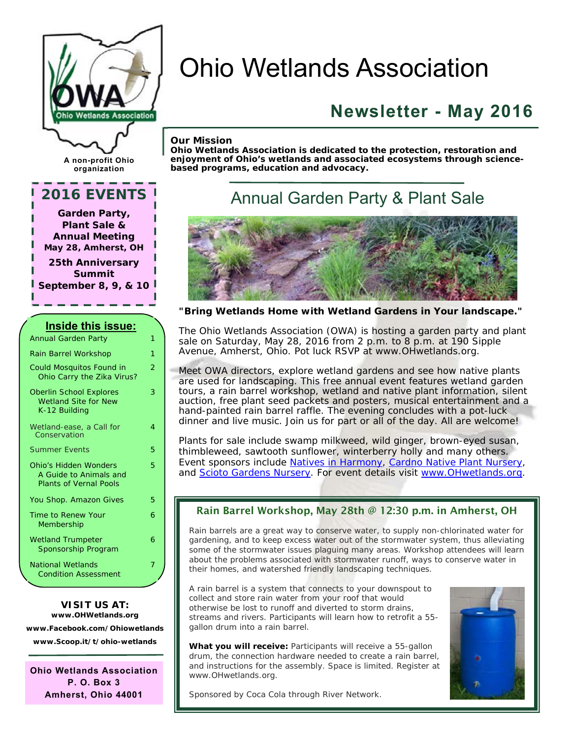

# Ohio Wetlands Association

# **Newsletter - May 2016**

#### *Our Mission*

*Ohio Wetlands Association is dedicated to the protection, restoration and enjoyment of Ohio's wetlands and associated ecosystems through sciencebased programs, education and advocacy.* 

### **A non-profit Ohio organization**

### **2016 EVENTS**

**Garden Party, Plant Sale & Annual Meeting May 28, Amherst, OH** 

**25th Anniversary Summit September 8, 9, & 10** 

#### **Inside this issue:**  Annual Garden Party 1 Rain Barrel Workshop 1 Could Mosquitos Found in Ohio Carry the Zika Virus?  $\overline{2}$ Oberlin School Explores Wetland Site for New K-12 Building 3 Wetland-ease, a Call for **Conservation** 4 Summer Events 5 Ohio's Hidden Wonders A Guide to Animals and Plants of Vernal Pools 5 You Shop. Amazon Gives 5 Time to Renew Your Membership 6 Wetland Trumpeter Sponsorship Program 6 National Wetlands Condition Assessment 7

### **VISIT US AT: [www.OHWetlands.org](http://www.OHWetlands.org)**

**[www.Facebook.com/Ohiowetlands](http://www.Facebook.com/Ohiowetlands)  [www.Scoop.it/t/ohio-wetlands](http://www.Scoop.it/t/ohio-wetlands)** 

**Ohio Wetlands Association P. O. Box 3 Amherst, Ohio 44001** 

## Annual Garden Party & Plant Sale



*"Bring Wetlands Home with Wetland Gardens in Your landscape."*

The Ohio Wetlands Association (OWA) is hosting a garden party and plant sale on Saturday, May 28, 2016 from 2 p.m. to 8 p.m. at 190 Sipple Avenue, Amherst, Ohio. Pot luck RSVP at [www.OHwetlands.org.](http://www.OHwetlands.org) 

Meet OWA directors, explore wetland gardens and see how native plants are used for landscaping. This free annual event features wetland garden tours, a rain barrel workshop, wetland and native plant information, silent auction, free plant seed packets and posters, musical entertainment and a hand-painted rain barrel raffle. The evening concludes with a pot-luck dinner and live music. Join us for part or all of the day. All are welcome!

Plants for sale include swamp milkweed, wild ginger, brown-eyed susan, thimbleweed, sawtooth sunflower, winterberry holly and many others. Event sponsors include Natives in Harmony, Cardno Native Plant Nursery, and Scioto Gardens Nursery. For event details visit [www.OHwetlands.org.](http://www.OHwetlands.org) 

### Rain Barrel Workshop, May 28th @ 12:30 p.m. in Amherst, OH

Rain barrels are a great way to conserve water, to supply non-chlorinated water for gardening, and to keep excess water out of the stormwater system, thus alleviating some of the stormwater issues plaguing many areas. Workshop attendees will learn about the problems associated with stormwater runoff, ways to conserve water in their homes, and watershed friendly landscaping techniques.

A rain barrel is a system that connects to your downspout to collect and store rain water from your roof that would otherwise be lost to runoff and diverted to storm drains, streams and rivers. Participants will learn how to retrofit a 55 gallon drum into a rain barrel.

What you will receive: Participants will receive a 55-gallon drum, the connection hardware needed to create a rain barrel, and instructions for the assembly. Space is limited. Register at [www.OHwetlands.org.](http://www.OHwetlands.org)



Sponsored by Coca Cola through River Network.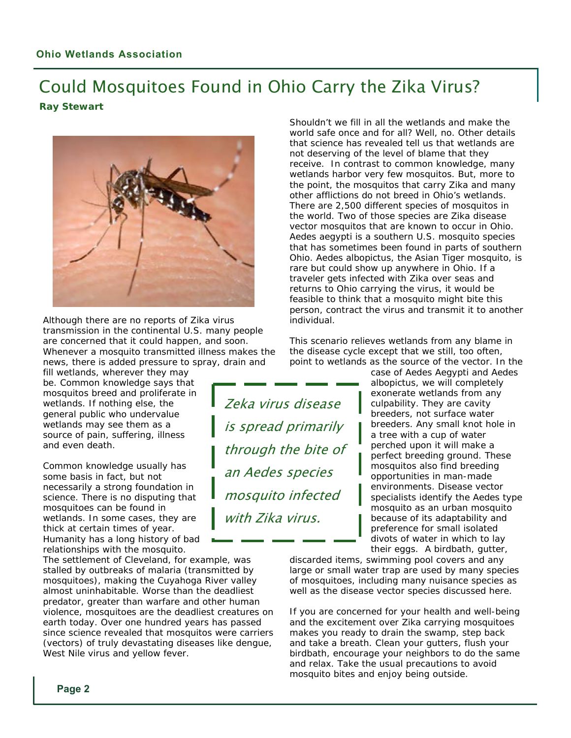### Could Mosquitoes Found in Ohio Carry the Zika Virus? **Ray Stewart**

Zeka virus disease

is spread primarily

through the bite of

an Aedes species

mosquito infected

with Zika virus.



Although there are no reports of Zika virus transmission in the continental U.S. many people are concerned that it could happen, and soon. Whenever a mosquito transmitted illness makes the news, there is added pressure to spray, drain and

fill wetlands, wherever they may be. Common knowledge says that mosquitos breed and proliferate in wetlands. If nothing else, the general public who undervalue wetlands may see them as a source of pain, suffering, illness and even death.

Common knowledge usually has some basis in fact, but not necessarily a strong foundation in science. There is no disputing that mosquitoes can be found in wetlands. In some cases, they are thick at certain times of year. Humanity has a long history of bad relationships with the mosquito.

The settlement of Cleveland, for example, was stalled by outbreaks of malaria (transmitted by mosquitoes), making the Cuyahoga River valley almost uninhabitable. Worse than the deadliest predator, greater than warfare and other human violence, mosquitoes are the deadliest creatures on earth today. Over one hundred years has passed since science revealed that mosquitos were carriers (vectors) of truly devastating diseases like dengue, West Nile virus and yellow fever.

Shouldn't we fill in all the wetlands and make the world safe once and for all? Well, no. Other details that science has revealed tell us that wetlands are not deserving of the level of blame that they receive. In contrast to common knowledge, many wetlands harbor very few mosquitos. But, more to the point, the mosquitos that carry Zika and many other afflictions do not breed in Ohio's wetlands. There are 2,500 different species of mosquitos in the world. Two of those species are Zika disease vector mosquitos that are known to occur in Ohio. *Aedes aegypti* is a southern U.S. mosquito species that has sometimes been found in parts of southern Ohio. *Aedes albopictus*, the Asian Tiger mosquito, is rare but could show up anywhere in Ohio. If a traveler gets infected with Zika over seas and returns to Ohio carrying the virus, it would be feasible to think that a mosquito might bite this person, contract the virus and transmit it to another individual.

This scenario relieves wetlands from any blame in the disease cycle except that we still, too often, point to wetlands as the source of the vector. In the

> case of *Aedes Aegypti* and *Aedes albopictus*, we will completely exonerate wetlands from any culpability. They are cavity breeders, not surface water breeders. Any small knot hole in a tree with a cup of water perched upon it will make a perfect breeding ground. These mosquitos also find breeding opportunities in man-made environments. Disease vector specialists identify the *Aedes* type mosquito as an urban mosquito because of its adaptability and preference for small isolated divots of water in which to lay their eggs. A birdbath, gutter,

discarded items, swimming pool covers and any large or small water trap are used by many species of mosquitoes, including many nuisance species as well as the disease vector species discussed here.

If you are concerned for your health and well-being and the excitement over Zika carrying mosquitoes makes you ready to drain the swamp, step back and take a breath. Clean your gutters, flush your birdbath, encourage your neighbors to do the same and relax. Take the usual precautions to avoid mosquito bites and enjoy being outside.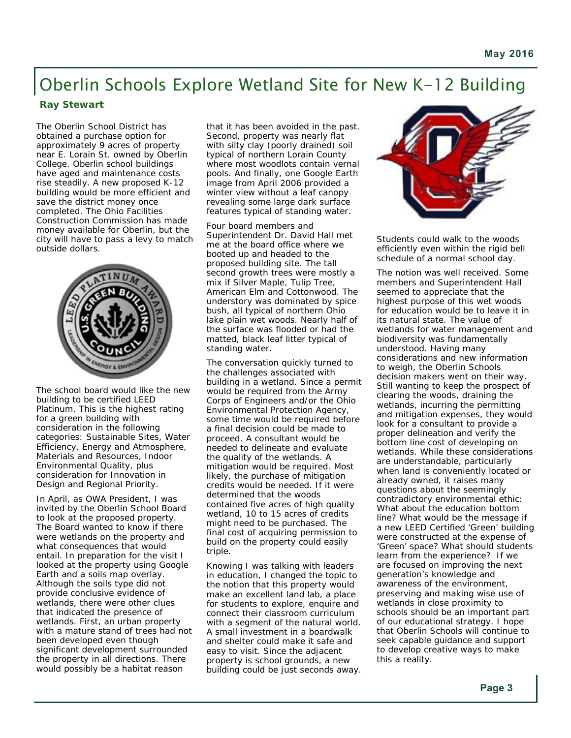## Oberlin Schools Explore Wetland Site for New K-12 Building

#### **Ray Stewart**

The Oberlin School District has obtained a purchase option for approximately 9 acres of property near E. Lorain St. owned by Oberlin College. Oberlin school buildings have aged and maintenance costs rise steadily. A new proposed K-12 building would be more efficient and save the district money once completed. The Ohio Facilities Construction Commission has made money available for Oberlin, but the city will have to pass a levy to match outside dollars.



The school board would like the new building to be certified LEED Platinum. This is the highest rating for a green building with consideration in the following categories: Sustainable Sites, Water Efficiency, Energy and Atmosphere, Materials and Resources, Indoor Environmental Quality, plus consideration for Innovation in Design and Regional Priority.

In April, as OWA President, I was invited by the Oberlin School Board to look at the proposed property. The Board wanted to know if there were wetlands on the property and what consequences that would entail. In preparation for the visit I looked at the property using Google Earth and a soils map overlay. Although the soils type did not provide conclusive evidence of wetlands, there were other clues that indicated the presence of wetlands. First, an urban property with a mature stand of trees had not been developed even though significant development surrounded the property in all directions. There would possibly be a habitat reason

that it has been avoided in the past. Second, property was nearly flat with silty clay (poorly drained) soil typical of northern Lorain County where most woodlots contain vernal pools. And finally, one Google Earth image from April 2006 provided a winter view without a leaf canopy revealing some large dark surface features typical of standing water.

Four board members and Superintendent Dr. David Hall met me at the board office where we booted up and headed to the proposed building site. The tall second growth trees were mostly a mix if Silver Maple, Tulip Tree, American Elm and Cottonwood. The understory was dominated by spice bush, all typical of northern Ohio lake plain wet woods. Nearly half of the surface was flooded or had the matted, black leaf litter typical of standing water.

The conversation quickly turned to the challenges associated with building in a wetland. Since a permit would be required from the Army Corps of Engineers and/or the Ohio Environmental Protection Agency, some time would be required before a final decision could be made to proceed. A consultant would be needed to delineate and evaluate the quality of the wetlands. A mitigation would be required. Most likely, the purchase of mitigation credits would be needed. If it were determined that the woods contained five acres of high quality wetland, 10 to 15 acres of credits might need to be purchased. The final cost of acquiring permission to build on the property could easily triple.

Knowing I was talking with leaders in education, I changed the topic to the notion that this property would make an excellent land lab, a place for students to explore, enquire and connect their classroom curriculum with a segment of the natural world. A small investment in a boardwalk and shelter could make it safe and easy to visit. Since the adjacent property is school grounds, a new building could be just seconds away.



Students could walk to the woods efficiently even within the rigid bell schedule of a normal school day.

The notion was well received. Some members and Superintendent Hall seemed to appreciate that the highest purpose of this wet woods for education would be to leave it in its natural state. The value of wetlands for water management and biodiversity was fundamentally understood. Having many considerations and new information to weigh, the Oberlin Schools decision makers went on their way. Still wanting to keep the prospect of clearing the woods, draining the wetlands, incurring the permitting and mitigation expenses, they would look for a consultant to provide a proper delineation and verify the bottom line cost of developing on wetlands. While these considerations are understandable, particularly when land is conveniently located or already owned, it raises many questions about the seemingly contradictory environmental ethic: What about the education bottom line? What would be the message if a new LEED Certified 'Green' building were constructed at the expense of 'Green' space? What should students learn from the experience? If we are focused on improving the next generation's knowledge and awareness of the environment, preserving and making wise use of wetlands in close proximity to schools should be an important part of our educational strategy. I hope that Oberlin Schools will continue to seek capable guidance and support to develop creative ways to make this a reality.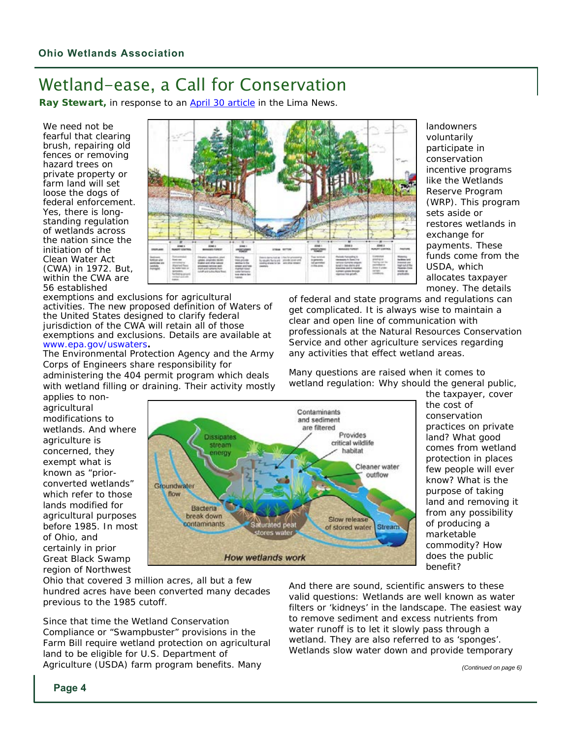## Wetland-ease, a Call for Conservation

**Ray Stewart,** in response to an April 30 article in the Lima News.

We need not be fearful that clearing brush, repairing old fences or removing hazard trees on private property or farm land will set loose the dogs of federal enforcement. Yes, there is longstanding regulation of wetlands across the nation since the initiation of the Clean Water Act (CWA) in 1972. But, within the CWA are 56 established

exemptions and exclusions for agricultural activities. The new proposed definition of Waters of the United States designed to clarify federal jurisdiction of the CWA will retain all of those exemptions and exclusions. Details are available at [www.epa.gov/uswaters](http://www.epa.gov/uswaters)**.** 

The Environmental Protection Agency and the Army Corps of Engineers share responsibility for administering the 404 permit program which deals

with wetland filling or draining. Their activity mostly



landowners voluntarily participate in conservation incentive programs like the Wetlands Reserve Program (WRP). This program sets aside or restores wetlands in exchange for payments. These funds come from the USDA, which allocates taxpayer money. The details

of federal and state programs and regulations can get complicated. It is always wise to maintain a clear and open line of communication with professionals at the Natural Resources Conservation Service and other agriculture services regarding any activities that effect wetland areas.

Many questions are raised when it comes to wetland regulation: Why should the general public,

applies to nonagricultural modifications to wetlands. And where agriculture is concerned, they exempt what is known as "priorconverted wetlands" which refer to those lands modified for agricultural purposes before 1985. In most of Ohio, and certainly in prior Great Black Swamp region of Northwest



the taxpayer, cover the cost of conservation practices on private land? What good comes from wetland protection in places few people will ever know? What is the purpose of taking land and removing it from any possibility of producing a marketable commodity? How does the public benefit?

Ohio that covered 3 million acres, all but a few hundred acres have been converted many decades previous to the 1985 cutoff.

Since that time the Wetland Conservation Compliance or "Swampbuster" provisions in the Farm Bill require wetland protection on agricultural land to be eligible for U.S. Department of Agriculture (USDA) farm program benefits. Many

And there are sound, scientific answers to these valid questions: Wetlands are well known as water filters or 'kidneys' in the landscape. The easiest way to remove sediment and excess nutrients from water runoff is to let it slowly pass through a wetland. They are also referred to as 'sponges'. Wetlands slow water down and provide temporary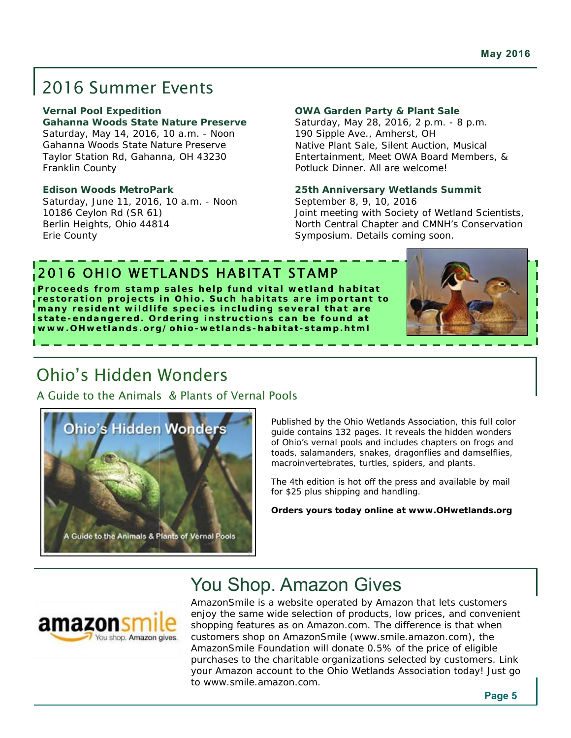# 2016 Summer Events

#### **Vernal Pool Expedition**

**Gahanna Woods State Nature Preserve**  Saturday, May 14, 2016, 10 a.m. - Noon Gahanna Woods State Nature Preserve Taylor Station Rd, Gahanna, OH 43230 Franklin County

#### **Edison Woods MetroPark**

Saturday, June 11, 2016, 10 a.m. - Noon 10186 Ceylon Rd (SR 61) Berlin Heights, Ohio 44814 Erie County

#### **OWA Garden Party & Plant Sale**

Saturday, May 28, 2016, 2 p.m. - 8 p.m. 190 Sipple Ave., Amherst, OH Native Plant Sale, Silent Auction, Musical Entertainment, Meet OWA Board Members, & Potluck Dinner. All are welcome!

#### **25th Anniversary Wetlands Summit**

September 8, 9, 10, 2016 Joint meeting with Society of Wetland Scientists, North Central Chapter and CMNH's Conservation Symposium. Details coming soon.

### 2016 OHIO WETLANDS HABITAT STAMP

**Proceeds from stamp sales help fund vital wetland habitat restoration projects in Ohio. Such habitats are important to many resident wildlife species including several that are state-endangered. Ordering instructions can be found at [www.OHwetlands.org/ohio-wetlands-habitat-stamp.html](http://www.OHwetlands.org/ohio-wetlands-habitat-stamp.html)** 



### Ohio's Hidden Wonders

A Guide to the Animals & Plants of Vernal Pools



Published by the Ohio Wetlands Association, this full color guide contains 132 pages. It reveals the hidden wonders of Ohio's vernal pools and includes chapters on frogs and toads, salamanders, snakes, dragonflies and damselflies, macroinvertebrates, turtles, spiders, and plants.

The 4th edition is hot off the press and available by mail for \$25 plus shipping and handling.

**Orders yours today online at [www.OHwetlands.org](http://www.OHwetlands.org)** 

# You Shop. Amazon Gives



AmazonSmile is a website operated by Amazon that lets customers enjoy the same wide selection of products, low prices, and convenient shopping features as on Amazon.com. The difference is that when customers shop on AmazonSmile ([www.smile.amazon.com\), th](http://www.smile.amazon.com)e AmazonSmile Foundation will donate 0.5% of the price of eligible purchases to the charitable organizations selected by customers. Link your Amazon account to the Ohio Wetlands Association today! Just go to [www.smile.amazon.com.](http://www.smile.amazon.com)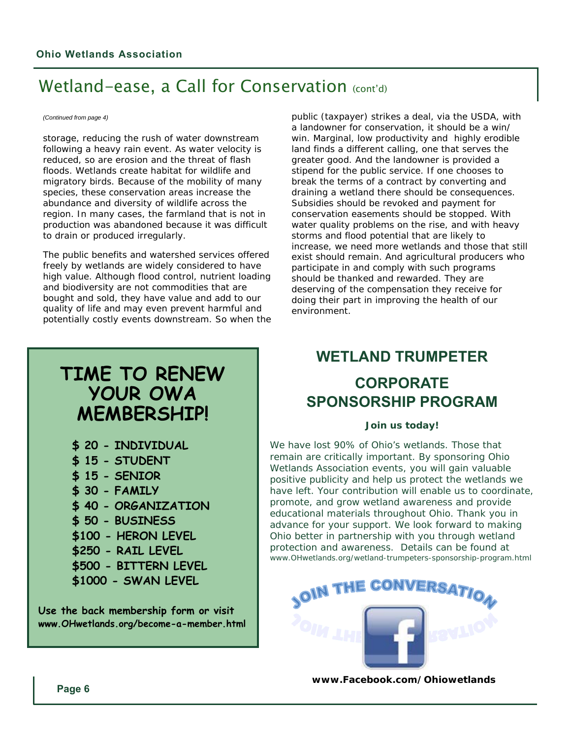### Wetland-ease, a Call for Conservation (cont'd)

#### *(Continued from page 4)*

storage, reducing the rush of water downstream following a heavy rain event. As water velocity is reduced, so are erosion and the threat of flash floods. Wetlands create habitat for wildlife and migratory birds. Because of the mobility of many species, these conservation areas increase the abundance and diversity of wildlife across the region. In many cases, the farmland that is not in production was abandoned because it was difficult to drain or produced irregularly.

The public benefits and watershed services offered freely by wetlands are widely considered to have high value. Although flood control, nutrient loading and biodiversity are not commodities that are bought and sold, they have value and add to our quality of life and may even prevent harmful and potentially costly events downstream. So when the

#### public (taxpayer) strikes a deal, via the USDA, with a landowner for conservation, it should be a win/ win. Marginal, low productivity and highly erodible land finds a different calling, one that serves the greater good. And the landowner is provided a stipend for the public service. If one chooses to break the terms of a contract by converting and draining a wetland there should be consequences. Subsidies should be revoked and payment for conservation easements should be stopped. With water quality problems on the rise, and with heavy storms and flood potential that are likely to increase, we need more wetlands and those that still exist should remain. And agricultural producers who participate in and comply with such programs should be thanked and rewarded. They are deserving of the compensation they receive for doing their part in improving the health of our environment.

### **TIME TO RENEW YOUR OWA MEMBERSHIP!**

- **\$ 20 INDIVIDUAL**
- **\$ 15 STUDENT**
- **\$ 15 SENIOR**
- **\$ 30 FAMILY**
- **\$ 40 ORGANIZATION**
- **\$ 50 BUSINESS**
- **\$100 HERON LEVEL**
- **\$250 RAIL LEVEL**
- **\$500 BITTERN LEVEL**
- **\$1000 SWAN LEVEL**

**Use the back membership form or visit [www.OHwetlands.org/become-a-member.html](http://www.OHwetlands.org/become-a-member.html)** 

## **WETLAND TRUMPETER**

### **CORPORATE SPONSORSHIP PROGRAM**

#### **Join us today!**

We have lost 90% of Ohio's wetlands. Those that remain are critically important. By sponsoring Ohio Wetlands Association events, you will gain valuable positive publicity and help us protect the wetlands we have left. Your contribution will enable us to coordinate, promote, and grow wetland awareness and provide educational materials throughout Ohio. Thank you in advance for your support. We look forward to making Ohio better in partnership with you through wetland protection and awareness. Details can be found at [www.OHwetlands.org/wetland-trumpeters-sponsorship-program.html](http://www.OHwetlands.org/wetland-trumpeters-sponsorship-program.html) 



**[www.Facebook.com/Ohiowetlands](http://www.Facebook.com/Ohiowetlands)**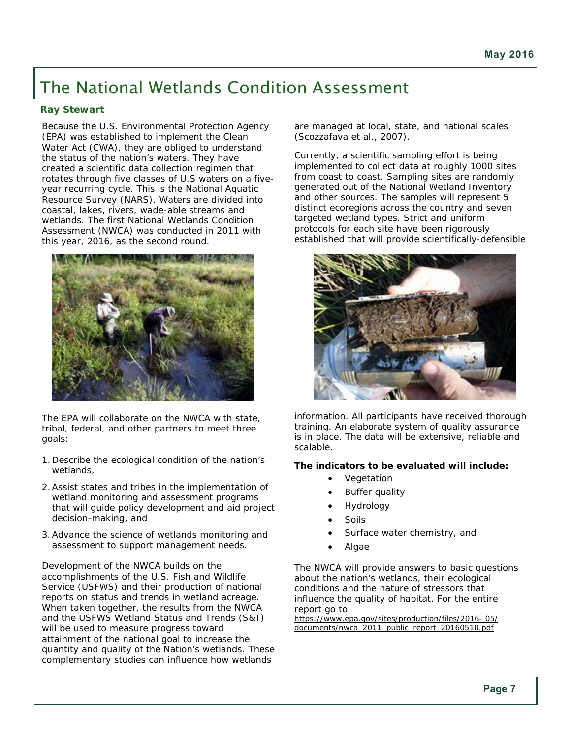# The National Wetlands Condition Assessment

### **Ray Stewart**

Because the U.S. Environmental Protection Agency (EPA) was established to implement the Clean Water Act (CWA), they are obliged to understand the status of the nation's waters. They have created a scientific data collection regimen that rotates through five classes of U.S waters on a fiveyear recurring cycle. This is the National Aquatic Resource Survey (NARS). Waters are divided into coastal, lakes, rivers, wade-able streams and wetlands. The first National Wetlands Condition Assessment (NWCA) was conducted in 2011 with this year, 2016, as the second round.



The EPA will collaborate on the NWCA with state, tribal, federal, and other partners to meet three goals:

- 1. Describe the ecological condition of the nation's wetlands,
- 2. Assist states and tribes in the implementation of wetland monitoring and assessment programs that will guide policy development and aid project decision-making, and
- 3. Advance the science of wetlands monitoring and assessment to support management needs.

Development of the NWCA builds on the accomplishments of the U.S. Fish and Wildlife Service (USFWS) and their production of national reports on status and trends in wetland acreage. When taken together, the results from the NWCA and the USFWS *Wetland Status and Trends* (S&T) will be used to measure progress toward attainment of the national goal to increase the quantity and quality of the Nation's wetlands. These complementary studies can influence how wetlands

are managed at local, state, and national scales (Scozzafava et al., 2007).

Currently, a scientific sampling effort is being implemented to collect data at roughly 1000 sites from coast to coast. Sampling sites are randomly generated out of the National Wetland Inventory and other sources. The samples will represent 5 distinct ecoregions across the country and seven targeted wetland types. Strict and uniform protocols for each site have been rigorously established that will provide scientifically-defensible



information. All participants have received thorough training. An elaborate system of quality assurance is in place. The data will be extensive, reliable and scalable.

### **The indicators to be evaluated will include:**

- Vegetation
- Buffer quality
- Hydrology
- Soils
- Surface water chemistry, and
- Algae

The NWCA will provide answers to basic questions about the nation's wetlands, their ecological conditions and the nature of stressors that influence the quality of habitat. For the entire report go to

[https://www.epa.gov/sites/production/files/2016- 05/](https://www.epa.gov/sites/production/files/2016-05/) documents/nwca\_2011\_public\_report\_20160510.pdf